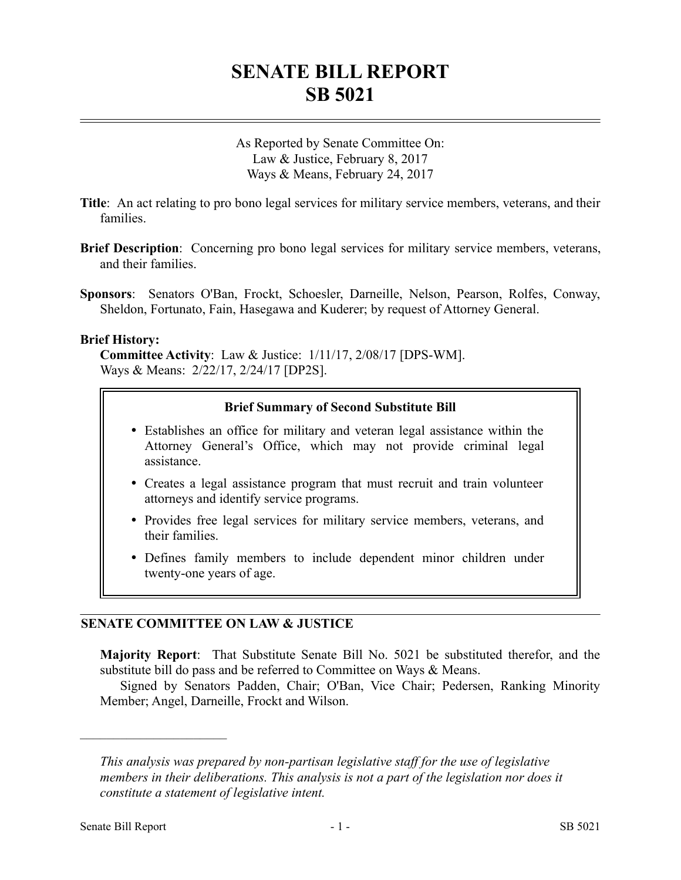# **SENATE BILL REPORT SB 5021**

As Reported by Senate Committee On: Law & Justice, February 8, 2017 Ways & Means, February 24, 2017

**Title**: An act relating to pro bono legal services for military service members, veterans, and their families.

- **Brief Description**: Concerning pro bono legal services for military service members, veterans, and their families.
- **Sponsors**: Senators O'Ban, Frockt, Schoesler, Darneille, Nelson, Pearson, Rolfes, Conway, Sheldon, Fortunato, Fain, Hasegawa and Kuderer; by request of Attorney General.

#### **Brief History:**

**Committee Activity**: Law & Justice: 1/11/17, 2/08/17 [DPS-WM]. Ways & Means: 2/22/17, 2/24/17 [DP2S].

#### **Brief Summary of Second Substitute Bill**

- Establishes an office for military and veteran legal assistance within the Attorney General's Office, which may not provide criminal legal assistance.
- Creates a legal assistance program that must recruit and train volunteer attorneys and identify service programs.
- Provides free legal services for military service members, veterans, and their families.
- Defines family members to include dependent minor children under twenty-one years of age.

# **SENATE COMMITTEE ON LAW & JUSTICE**

**Majority Report**: That Substitute Senate Bill No. 5021 be substituted therefor, and the substitute bill do pass and be referred to Committee on Ways & Means.

Signed by Senators Padden, Chair; O'Ban, Vice Chair; Pedersen, Ranking Minority Member; Angel, Darneille, Frockt and Wilson.

––––––––––––––––––––––

*This analysis was prepared by non-partisan legislative staff for the use of legislative members in their deliberations. This analysis is not a part of the legislation nor does it constitute a statement of legislative intent.*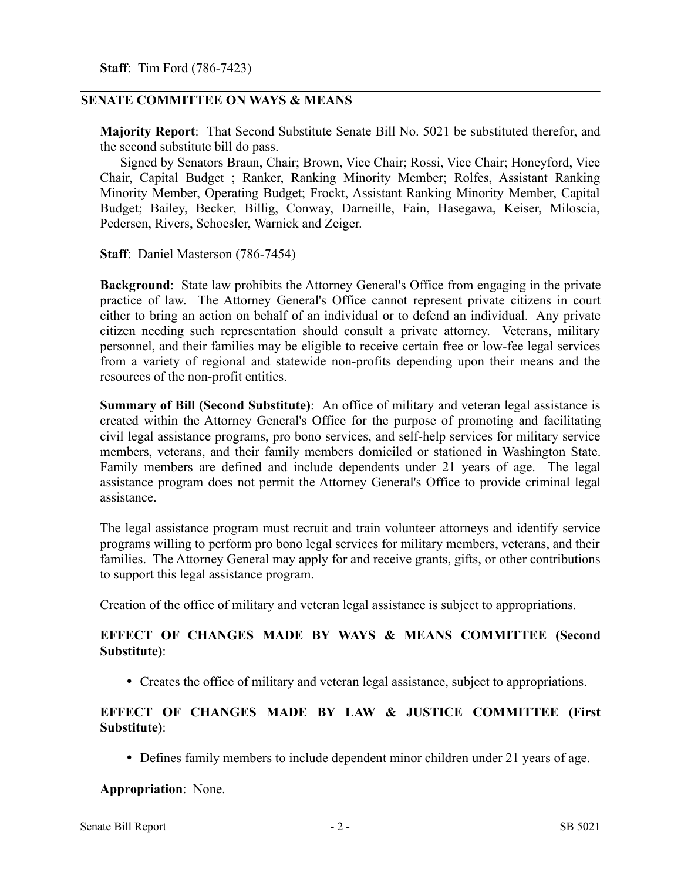**Staff**: Tim Ford (786-7423)

### **SENATE COMMITTEE ON WAYS & MEANS**

**Majority Report**: That Second Substitute Senate Bill No. 5021 be substituted therefor, and the second substitute bill do pass.

Signed by Senators Braun, Chair; Brown, Vice Chair; Rossi, Vice Chair; Honeyford, Vice Chair, Capital Budget ; Ranker, Ranking Minority Member; Rolfes, Assistant Ranking Minority Member, Operating Budget; Frockt, Assistant Ranking Minority Member, Capital Budget; Bailey, Becker, Billig, Conway, Darneille, Fain, Hasegawa, Keiser, Miloscia, Pedersen, Rivers, Schoesler, Warnick and Zeiger.

**Staff**: Daniel Masterson (786-7454)

**Background**: State law prohibits the Attorney General's Office from engaging in the private practice of law. The Attorney General's Office cannot represent private citizens in court either to bring an action on behalf of an individual or to defend an individual. Any private citizen needing such representation should consult a private attorney. Veterans, military personnel, and their families may be eligible to receive certain free or low-fee legal services from a variety of regional and statewide non-profits depending upon their means and the resources of the non-profit entities.

**Summary of Bill (Second Substitute)**: An office of military and veteran legal assistance is created within the Attorney General's Office for the purpose of promoting and facilitating civil legal assistance programs, pro bono services, and self-help services for military service members, veterans, and their family members domiciled or stationed in Washington State. Family members are defined and include dependents under 21 years of age. The legal assistance program does not permit the Attorney General's Office to provide criminal legal assistance.

The legal assistance program must recruit and train volunteer attorneys and identify service programs willing to perform pro bono legal services for military members, veterans, and their families. The Attorney General may apply for and receive grants, gifts, or other contributions to support this legal assistance program.

Creation of the office of military and veteran legal assistance is subject to appropriations.

## **EFFECT OF CHANGES MADE BY WAYS & MEANS COMMITTEE (Second Substitute)**:

Creates the office of military and veteran legal assistance, subject to appropriations.

## **EFFECT OF CHANGES MADE BY LAW & JUSTICE COMMITTEE (First Substitute)**:

Defines family members to include dependent minor children under 21 years of age.

#### **Appropriation**: None.